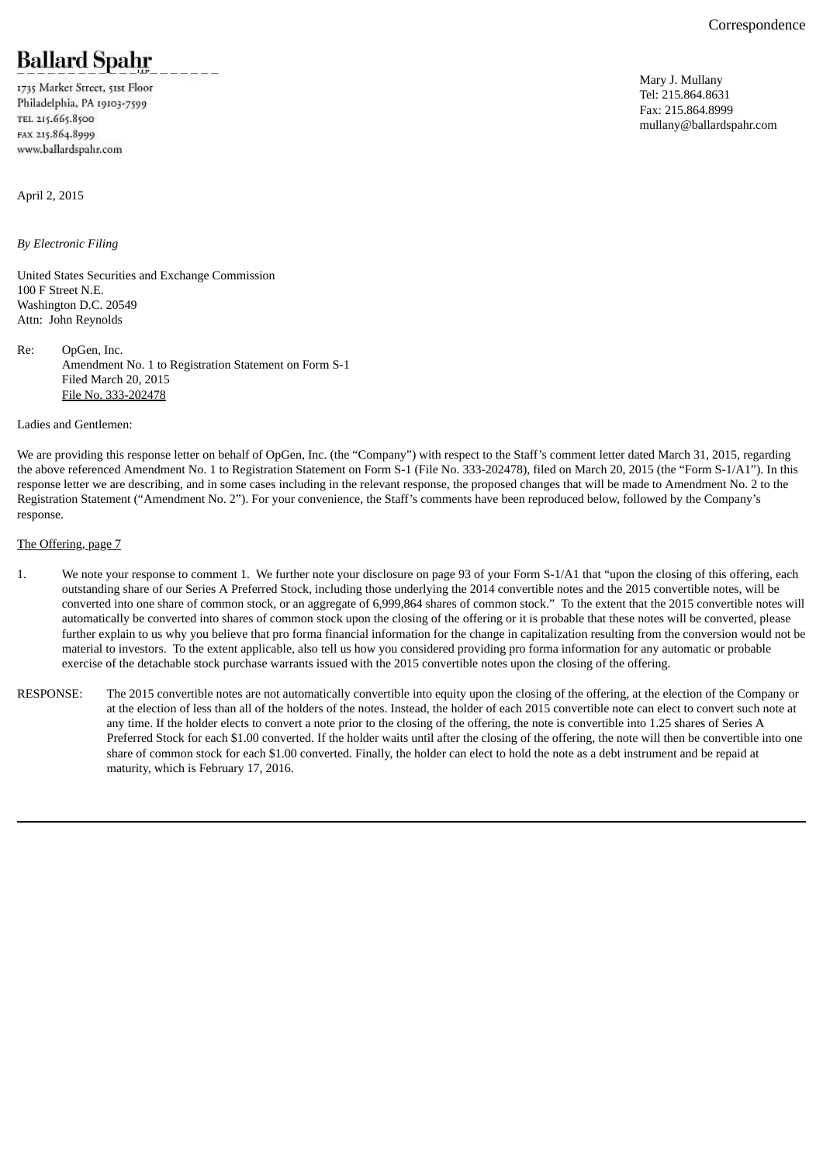# **Ballard Spahr**

1735 Market Street, 51st Floor Philadelphia, PA 19103-7599 TEL 215.665.8500 FAX 215.864.8999 www.ballardspahr.com

April 2, 2015

*By Electronic Filing*

United States Securities and Exchange Commission 100 F Street N.E. Washington D.C. 20549 Attn: John Reynolds

Re: OpGen, Inc. Amendment No. 1 to Registration Statement on Form S-1 Filed March 20, 2015 File No. 333-202478

Ladies and Gentlemen:

We are providing this response letter on behalf of OpGen, Inc. (the "Company") with respect to the Staff's comment letter dated March 31, 2015, regarding the above referenced Amendment No. 1 to Registration Statement on Form S-1 (File No. 333-202478), filed on March 20, 2015 (the "Form S-1/A1"). In this response letter we are describing, and in some cases including in the relevant response, the proposed changes that will be made to Amendment No. 2 to the Registration Statement ("Amendment No. 2"). For your convenience, the Staff's comments have been reproduced below, followed by the Company's response.

# The Offering, page 7

- 1. We note your response to comment 1. We further note your disclosure on page 93 of your Form S-1/A1 that "upon the closing of this offering, each outstanding share of our Series A Preferred Stock, including those underlying the 2014 convertible notes and the 2015 convertible notes, will be converted into one share of common stock, or an aggregate of 6,999,864 shares of common stock." To the extent that the 2015 convertible notes will automatically be converted into shares of common stock upon the closing of the offering or it is probable that these notes will be converted, please further explain to us why you believe that pro forma financial information for the change in capitalization resulting from the conversion would not be material to investors. To the extent applicable, also tell us how you considered providing pro forma information for any automatic or probable exercise of the detachable stock purchase warrants issued with the 2015 convertible notes upon the closing of the offering.
- RESPONSE: The 2015 convertible notes are not automatically convertible into equity upon the closing of the offering, at the election of the Company or at the election of less than all of the holders of the notes. Instead, the holder of each 2015 convertible note can elect to convert such note at any time. If the holder elects to convert a note prior to the closing of the offering, the note is convertible into 1.25 shares of Series A Preferred Stock for each \$1.00 converted. If the holder waits until after the closing of the offering, the note will then be convertible into one share of common stock for each \$1.00 converted. Finally, the holder can elect to hold the note as a debt instrument and be repaid at maturity, which is February 17, 2016.

Mary J. Mullany Tel: 215.864.8631 Fax: 215.864.8999 mullany@ballardspahr.com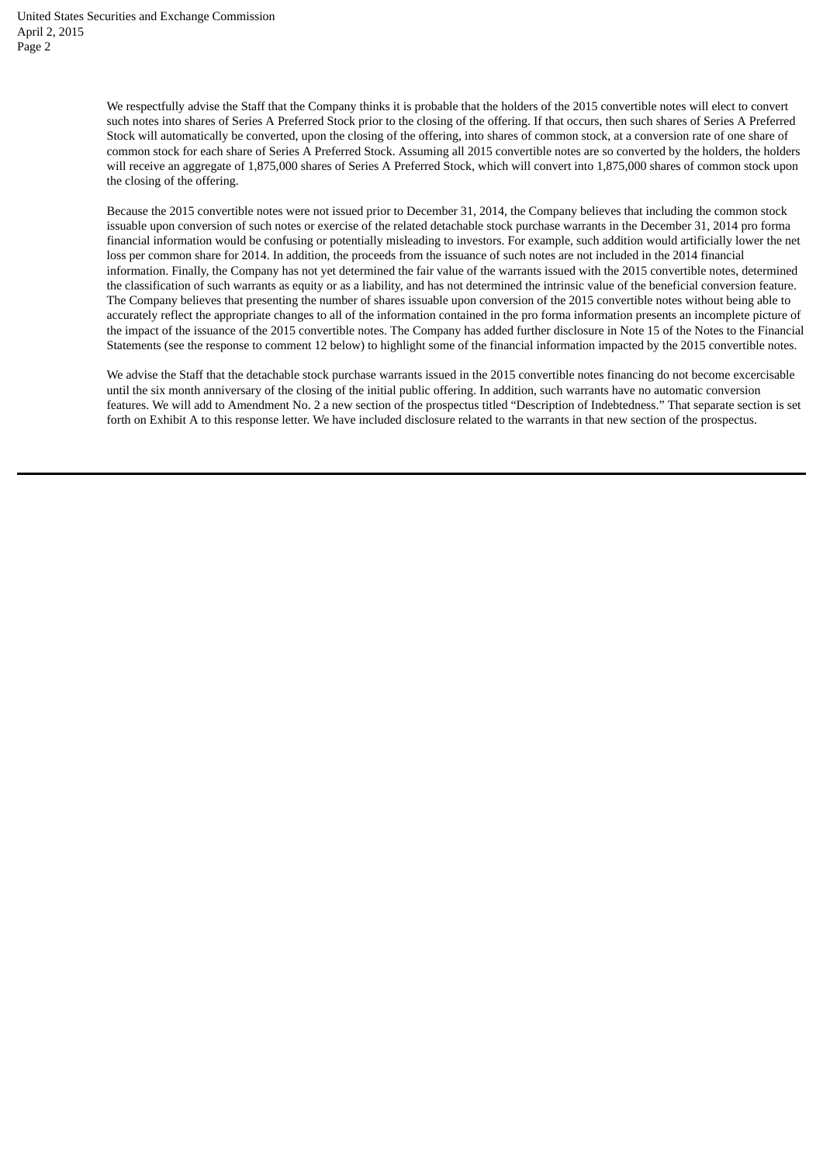We respectfully advise the Staff that the Company thinks it is probable that the holders of the 2015 convertible notes will elect to convert such notes into shares of Series A Preferred Stock prior to the closing of the offering. If that occurs, then such shares of Series A Preferred Stock will automatically be converted, upon the closing of the offering, into shares of common stock, at a conversion rate of one share of common stock for each share of Series A Preferred Stock. Assuming all 2015 convertible notes are so converted by the holders, the holders will receive an aggregate of 1,875,000 shares of Series A Preferred Stock, which will convert into 1,875,000 shares of common stock upon the closing of the offering.

Because the 2015 convertible notes were not issued prior to December 31, 2014, the Company believes that including the common stock issuable upon conversion of such notes or exercise of the related detachable stock purchase warrants in the December 31, 2014 pro forma financial information would be confusing or potentially misleading to investors. For example, such addition would artificially lower the net loss per common share for 2014. In addition, the proceeds from the issuance of such notes are not included in the 2014 financial information. Finally, the Company has not yet determined the fair value of the warrants issued with the 2015 convertible notes, determined the classification of such warrants as equity or as a liability, and has not determined the intrinsic value of the beneficial conversion feature. The Company believes that presenting the number of shares issuable upon conversion of the 2015 convertible notes without being able to accurately reflect the appropriate changes to all of the information contained in the pro forma information presents an incomplete picture of the impact of the issuance of the 2015 convertible notes. The Company has added further disclosure in Note 15 of the Notes to the Financial Statements (see the response to comment 12 below) to highlight some of the financial information impacted by the 2015 convertible notes.

We advise the Staff that the detachable stock purchase warrants issued in the 2015 convertible notes financing do not become excercisable until the six month anniversary of the closing of the initial public offering. In addition, such warrants have no automatic conversion features. We will add to Amendment No. 2 a new section of the prospectus titled "Description of Indebtedness." That separate section is set forth on Exhibit A to this response letter. We have included disclosure related to the warrants in that new section of the prospectus.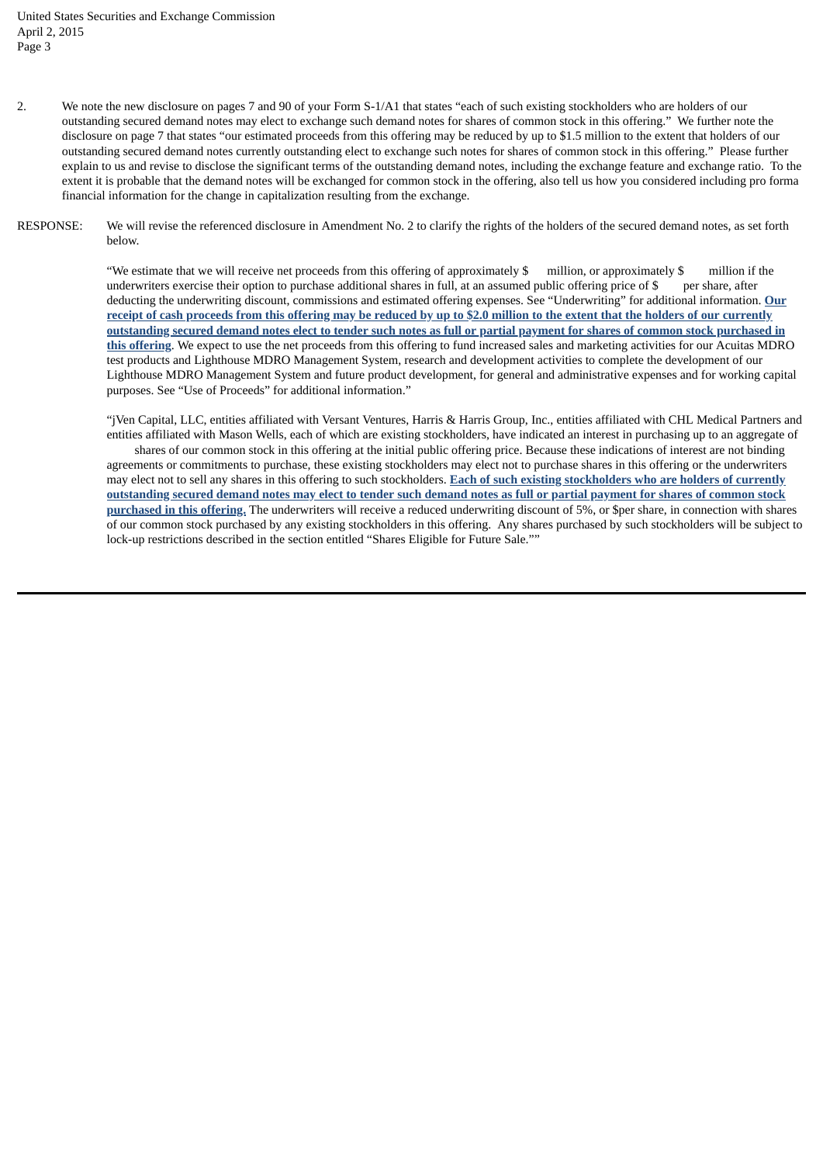- 2. We note the new disclosure on pages 7 and 90 of your Form S-1/A1 that states "each of such existing stockholders who are holders of our outstanding secured demand notes may elect to exchange such demand notes for shares of common stock in this offering." We further note the disclosure on page 7 that states "our estimated proceeds from this offering may be reduced by up to \$1.5 million to the extent that holders of our outstanding secured demand notes currently outstanding elect to exchange such notes for shares of common stock in this offering." Please further explain to us and revise to disclose the significant terms of the outstanding demand notes, including the exchange feature and exchange ratio. To the extent it is probable that the demand notes will be exchanged for common stock in the offering, also tell us how you considered including pro forma financial information for the change in capitalization resulting from the exchange.
- RESPONSE: We will revise the referenced disclosure in Amendment No. 2 to clarify the rights of the holders of the secured demand notes, as set forth below.

"We estimate that we will receive net proceeds from this offering of approximately \$ million, or approximately \$ million if the underwriters exercise their option to purchase additional shares in full, at an assumed public offering price of \$ per share*,* after deducting the underwriting discount, commissions and estimated offering expenses. See "Underwriting" for additional information. **Our** receipt of cash proceeds from this offering may be reduced by up to \$2.0 million to the extent that the holders of our currently outstanding secured demand notes elect to tender such notes as full or partial payment for shares of common stock purchased in **this offering**. We expect to use the net proceeds from this offering to fund increased sales and marketing activities for our Acuitas MDRO test products and Lighthouse MDRO Management System, research and development activities to complete the development of our Lighthouse MDRO Management System and future product development, for general and administrative expenses and for working capital purposes. See "Use of Proceeds" for additional information."

"jVen Capital, LLC, entities affiliated with Versant Ventures, Harris & Harris Group, Inc., entities affiliated with CHL Medical Partners and entities affiliated with Mason Wells, each of which are existing stockholders, have indicated an interest in purchasing up to an aggregate of shares of our common stock in this offering at the initial public offering price. Because these indications of interest are not binding agreements or commitments to purchase, these existing stockholders may elect not to purchase shares in this offering or the underwriters may elect not to sell any shares in this offering to such stockholders. **Each of such existing stockholders who are holders of currently** outstanding secured demand notes may elect to tender such demand notes as full or partial payment for shares of common stock **purchased in this offering.** The underwriters will receive a reduced underwriting discount of 5%, or \$per share, in connection with shares of our common stock purchased by any existing stockholders in this offering. Any shares purchased by such stockholders will be subject to lock-up restrictions described in the section entitled "Shares Eligible for Future Sale.""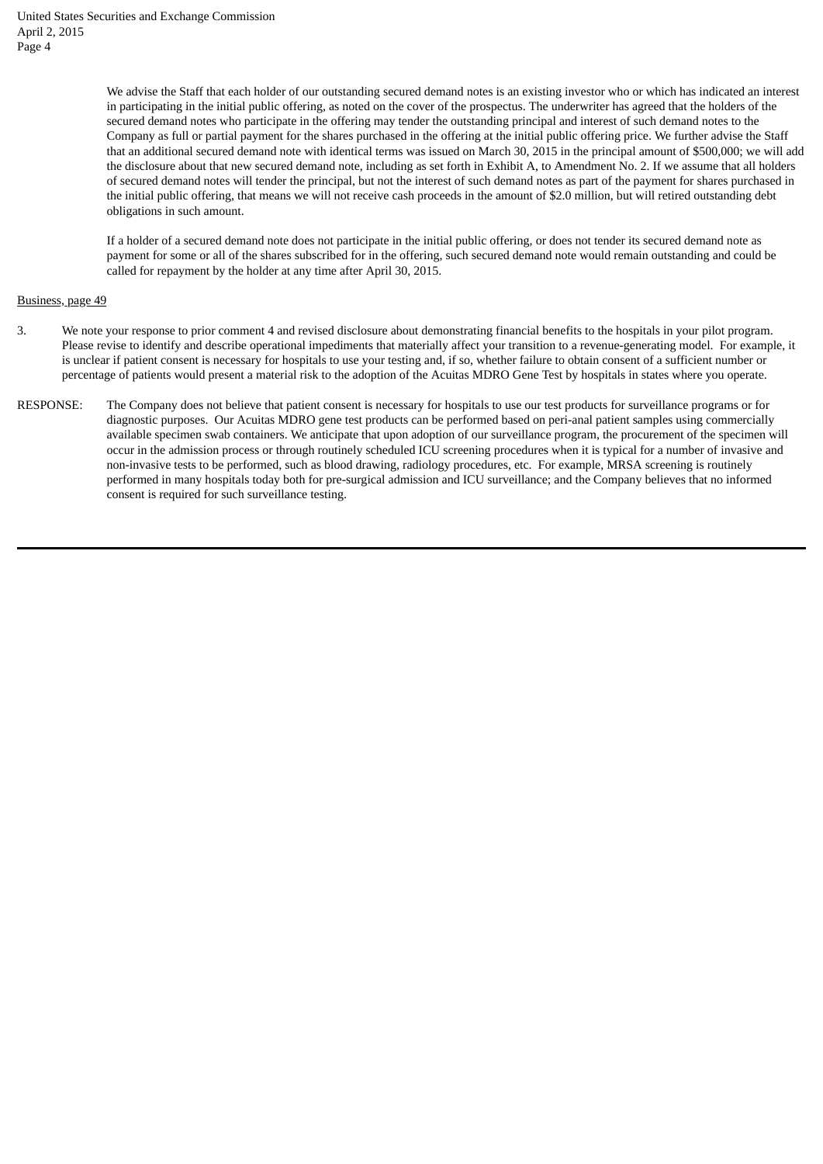We advise the Staff that each holder of our outstanding secured demand notes is an existing investor who or which has indicated an interest in participating in the initial public offering, as noted on the cover of the prospectus. The underwriter has agreed that the holders of the secured demand notes who participate in the offering may tender the outstanding principal and interest of such demand notes to the Company as full or partial payment for the shares purchased in the offering at the initial public offering price. We further advise the Staff that an additional secured demand note with identical terms was issued on March 30, 2015 in the principal amount of \$500,000; we will add the disclosure about that new secured demand note, including as set forth in Exhibit A, to Amendment No. 2. If we assume that all holders of secured demand notes will tender the principal, but not the interest of such demand notes as part of the payment for shares purchased in the initial public offering, that means we will not receive cash proceeds in the amount of \$2.0 million, but will retired outstanding debt obligations in such amount.

If a holder of a secured demand note does not participate in the initial public offering, or does not tender its secured demand note as payment for some or all of the shares subscribed for in the offering, such secured demand note would remain outstanding and could be called for repayment by the holder at any time after April 30, 2015.

# Business, page 49

- 3. We note your response to prior comment 4 and revised disclosure about demonstrating financial benefits to the hospitals in your pilot program. Please revise to identify and describe operational impediments that materially affect your transition to a revenue-generating model. For example, it is unclear if patient consent is necessary for hospitals to use your testing and, if so, whether failure to obtain consent of a sufficient number or percentage of patients would present a material risk to the adoption of the Acuitas MDRO Gene Test by hospitals in states where you operate.
- RESPONSE: The Company does not believe that patient consent is necessary for hospitals to use our test products for surveillance programs or for diagnostic purposes. Our Acuitas MDRO gene test products can be performed based on peri-anal patient samples using commercially available specimen swab containers. We anticipate that upon adoption of our surveillance program, the procurement of the specimen will occur in the admission process or through routinely scheduled ICU screening procedures when it is typical for a number of invasive and non-invasive tests to be performed, such as blood drawing, radiology procedures, etc. For example, MRSA screening is routinely performed in many hospitals today both for pre-surgical admission and ICU surveillance; and the Company believes that no informed consent is required for such surveillance testing.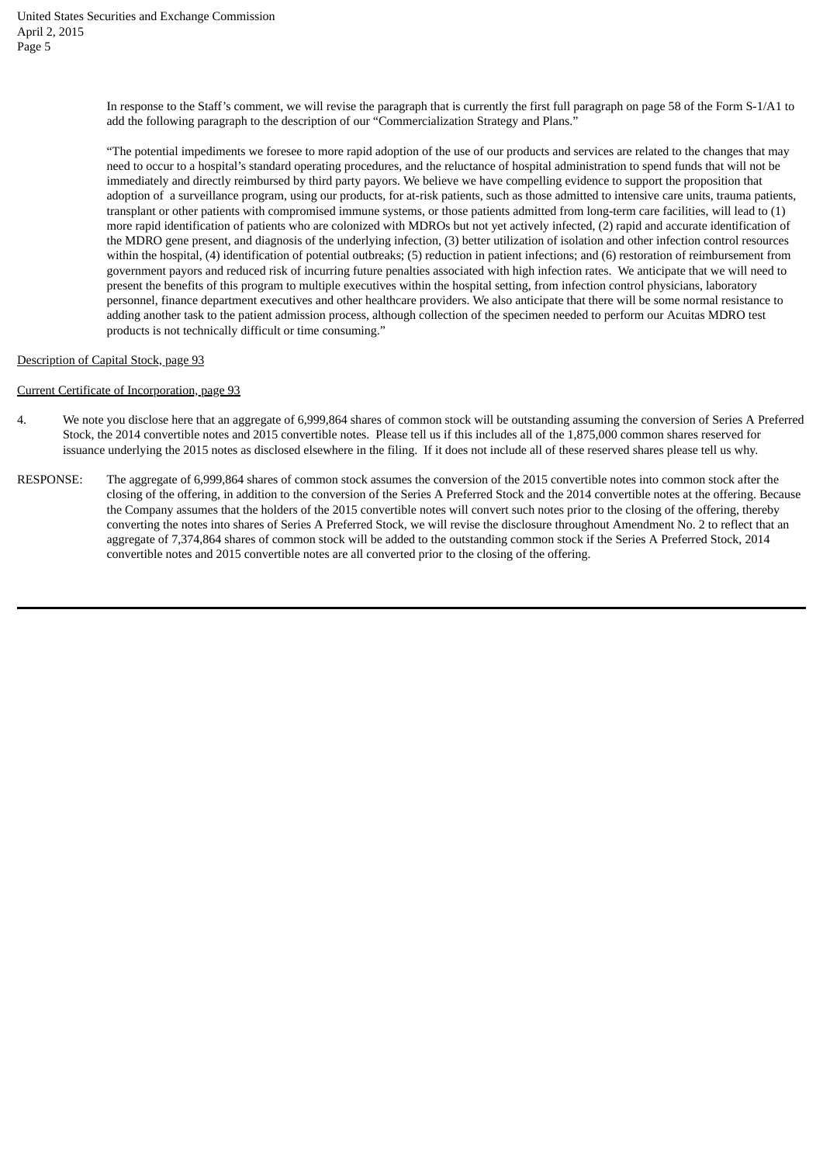In response to the Staff's comment, we will revise the paragraph that is currently the first full paragraph on page 58 of the Form S-1/A1 to add the following paragraph to the description of our "Commercialization Strategy and Plans."

"The potential impediments we foresee to more rapid adoption of the use of our products and services are related to the changes that may need to occur to a hospital's standard operating procedures, and the reluctance of hospital administration to spend funds that will not be immediately and directly reimbursed by third party payors. We believe we have compelling evidence to support the proposition that adoption of a surveillance program, using our products, for at-risk patients, such as those admitted to intensive care units, trauma patients, transplant or other patients with compromised immune systems, or those patients admitted from long-term care facilities, will lead to (1) more rapid identification of patients who are colonized with MDROs but not yet actively infected, (2) rapid and accurate identification of the MDRO gene present, and diagnosis of the underlying infection, (3) better utilization of isolation and other infection control resources within the hospital, (4) identification of potential outbreaks; (5) reduction in patient infections; and (6) restoration of reimbursement from government payors and reduced risk of incurring future penalties associated with high infection rates. We anticipate that we will need to present the benefits of this program to multiple executives within the hospital setting, from infection control physicians, laboratory personnel, finance department executives and other healthcare providers. We also anticipate that there will be some normal resistance to adding another task to the patient admission process, although collection of the specimen needed to perform our Acuitas MDRO test products is not technically difficult or time consuming."

# Description of Capital Stock, page 93

# Current Certificate of Incorporation, page 93

- 4. We note you disclose here that an aggregate of 6,999,864 shares of common stock will be outstanding assuming the conversion of Series A Preferred Stock, the 2014 convertible notes and 2015 convertible notes. Please tell us if this includes all of the 1,875,000 common shares reserved for issuance underlying the 2015 notes as disclosed elsewhere in the filing. If it does not include all of these reserved shares please tell us why.
- RESPONSE: The aggregate of 6,999,864 shares of common stock assumes the conversion of the 2015 convertible notes into common stock after the closing of the offering, in addition to the conversion of the Series A Preferred Stock and the 2014 convertible notes at the offering. Because the Company assumes that the holders of the 2015 convertible notes will convert such notes prior to the closing of the offering, thereby converting the notes into shares of Series A Preferred Stock, we will revise the disclosure throughout Amendment No. 2 to reflect that an aggregate of 7,374,864 shares of common stock will be added to the outstanding common stock if the Series A Preferred Stock, 2014 convertible notes and 2015 convertible notes are all converted prior to the closing of the offering.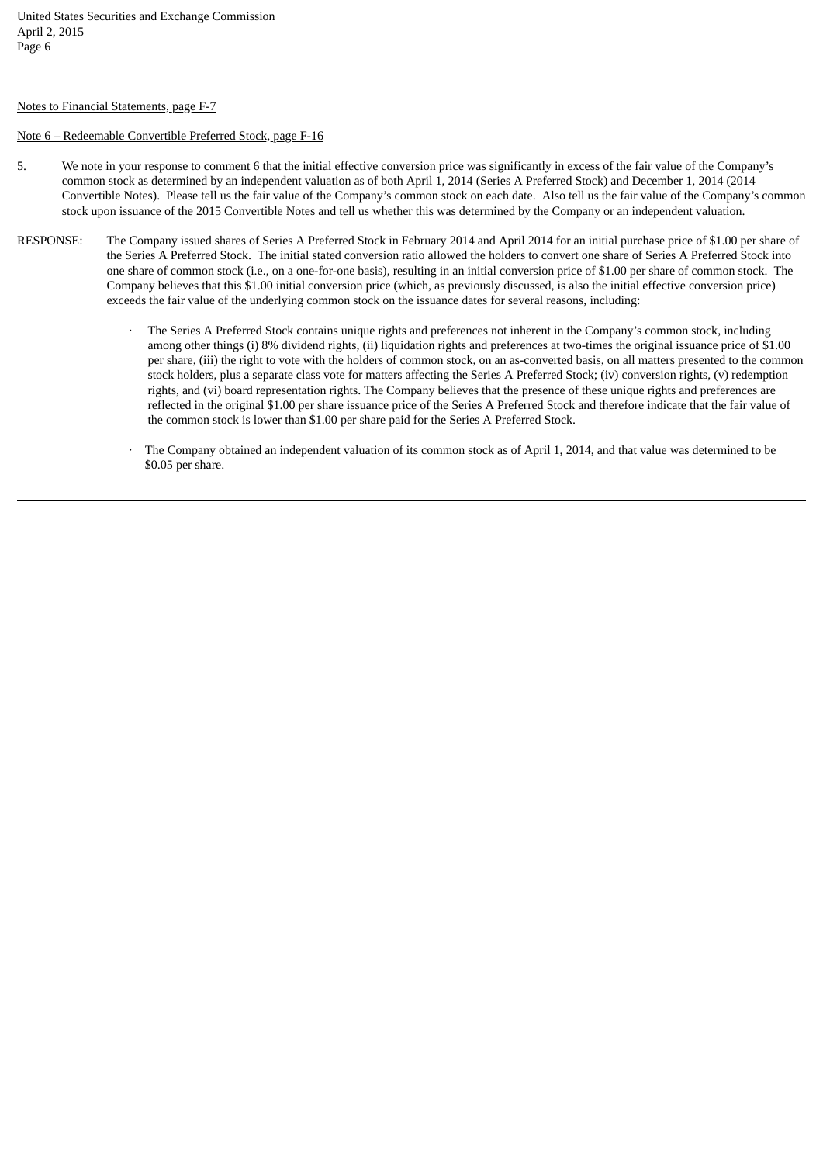#### Notes to Financial Statements, page F-7

# Note 6 – Redeemable Convertible Preferred Stock, page F-16

- 5. We note in your response to comment 6 that the initial effective conversion price was significantly in excess of the fair value of the Company's common stock as determined by an independent valuation as of both April 1, 2014 (Series A Preferred Stock) and December 1, 2014 (2014 Convertible Notes). Please tell us the fair value of the Company's common stock on each date. Also tell us the fair value of the Company's common stock upon issuance of the 2015 Convertible Notes and tell us whether this was determined by the Company or an independent valuation.
- RESPONSE: The Company issued shares of Series A Preferred Stock in February 2014 and April 2014 for an initial purchase price of \$1.00 per share of the Series A Preferred Stock. The initial stated conversion ratio allowed the holders to convert one share of Series A Preferred Stock into one share of common stock (i.e., on a one-for-one basis), resulting in an initial conversion price of \$1.00 per share of common stock. The Company believes that this \$1.00 initial conversion price (which, as previously discussed, is also the initial effective conversion price) exceeds the fair value of the underlying common stock on the issuance dates for several reasons, including:
	- The Series A Preferred Stock contains unique rights and preferences not inherent in the Company's common stock, including among other things (i) 8% dividend rights, (ii) liquidation rights and preferences at two-times the original issuance price of \$1.00 per share, (iii) the right to vote with the holders of common stock, on an as-converted basis, on all matters presented to the common stock holders, plus a separate class vote for matters affecting the Series A Preferred Stock; (iv) conversion rights, (v) redemption rights, and (vi) board representation rights. The Company believes that the presence of these unique rights and preferences are reflected in the original \$1.00 per share issuance price of the Series A Preferred Stock and therefore indicate that the fair value of the common stock is lower than \$1.00 per share paid for the Series A Preferred Stock.
	- The Company obtained an independent valuation of its common stock as of April 1, 2014, and that value was determined to be \$0.05 per share.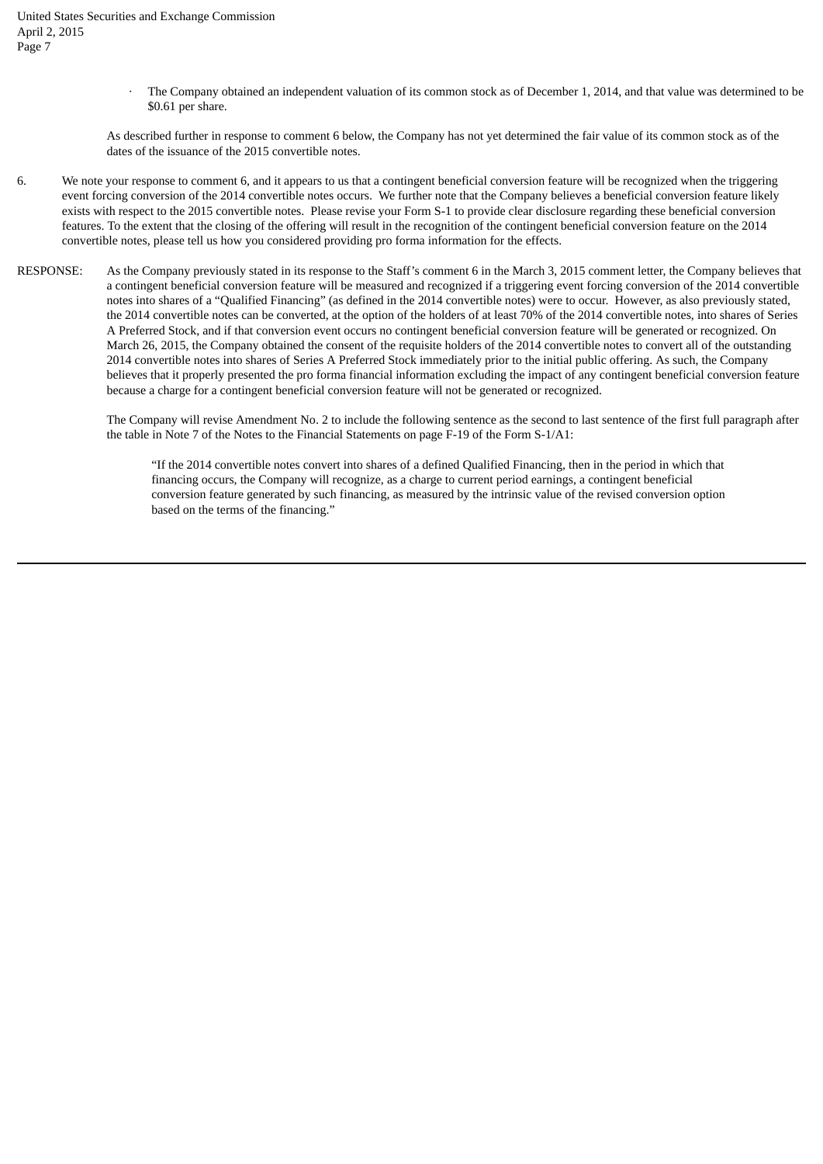The Company obtained an independent valuation of its common stock as of December 1, 2014, and that value was determined to be \$0.61 per share.

As described further in response to comment 6 below, the Company has not yet determined the fair value of its common stock as of the dates of the issuance of the 2015 convertible notes.

- 6. We note your response to comment 6, and it appears to us that a contingent beneficial conversion feature will be recognized when the triggering event forcing conversion of the 2014 convertible notes occurs. We further note that the Company believes a beneficial conversion feature likely exists with respect to the 2015 convertible notes. Please revise your Form S-1 to provide clear disclosure regarding these beneficial conversion features. To the extent that the closing of the offering will result in the recognition of the contingent beneficial conversion feature on the 2014 convertible notes, please tell us how you considered providing pro forma information for the effects.
- RESPONSE: As the Company previously stated in its response to the Staff's comment 6 in the March 3, 2015 comment letter, the Company believes that a contingent beneficial conversion feature will be measured and recognized if a triggering event forcing conversion of the 2014 convertible notes into shares of a "Qualified Financing" (as defined in the 2014 convertible notes) were to occur. However, as also previously stated, the 2014 convertible notes can be converted, at the option of the holders of at least 70% of the 2014 convertible notes, into shares of Series A Preferred Stock, and if that conversion event occurs no contingent beneficial conversion feature will be generated or recognized. On March 26, 2015, the Company obtained the consent of the requisite holders of the 2014 convertible notes to convert all of the outstanding 2014 convertible notes into shares of Series A Preferred Stock immediately prior to the initial public offering. As such, the Company believes that it properly presented the pro forma financial information excluding the impact of any contingent beneficial conversion feature because a charge for a contingent beneficial conversion feature will not be generated or recognized.

The Company will revise Amendment No. 2 to include the following sentence as the second to last sentence of the first full paragraph after the table in Note 7 of the Notes to the Financial Statements on page F-19 of the Form S-1/A1:

"If the 2014 convertible notes convert into shares of a defined Qualified Financing, then in the period in which that financing occurs, the Company will recognize, as a charge to current period earnings, a contingent beneficial conversion feature generated by such financing, as measured by the intrinsic value of the revised conversion option based on the terms of the financing."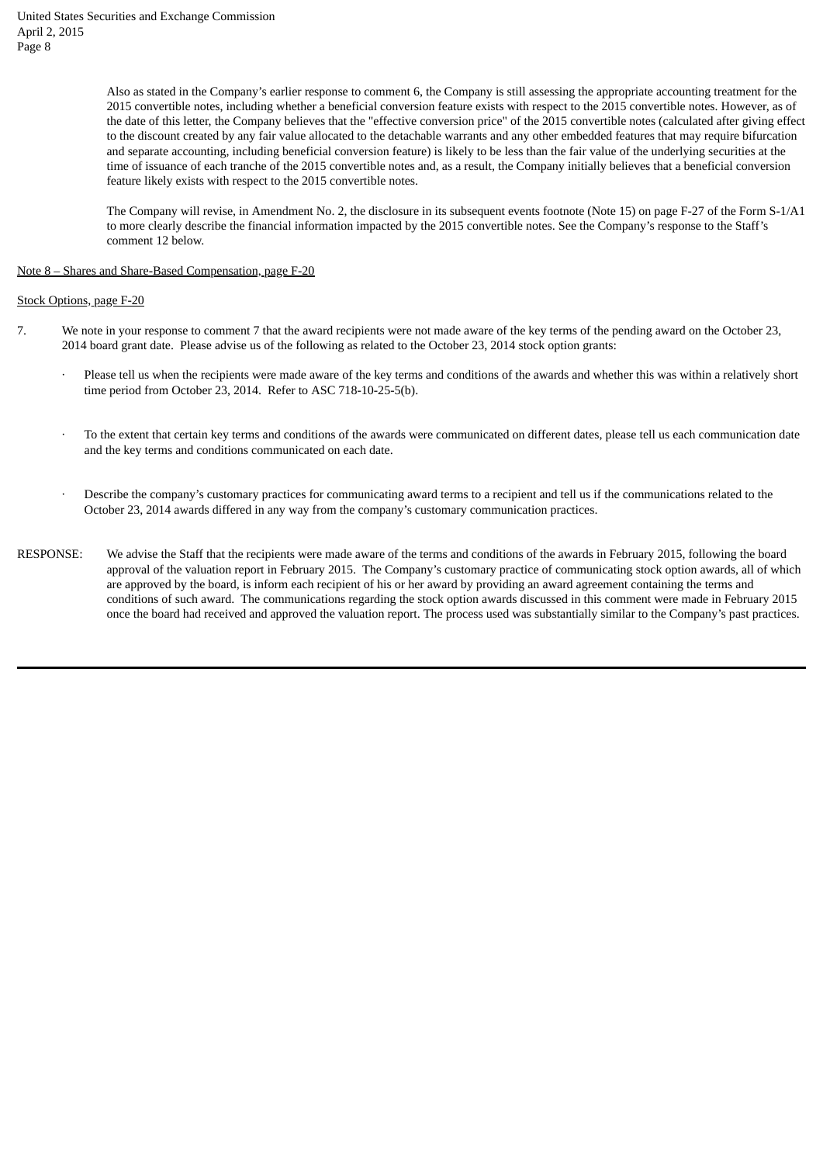Also as stated in the Company's earlier response to comment 6, the Company is still assessing the appropriate accounting treatment for the 2015 convertible notes, including whether a beneficial conversion feature exists with respect to the 2015 convertible notes. However, as of the date of this letter, the Company believes that the "effective conversion price" of the 2015 convertible notes (calculated after giving effect to the discount created by any fair value allocated to the detachable warrants and any other embedded features that may require bifurcation and separate accounting, including beneficial conversion feature) is likely to be less than the fair value of the underlying securities at the time of issuance of each tranche of the 2015 convertible notes and, as a result, the Company initially believes that a beneficial conversion feature likely exists with respect to the 2015 convertible notes.

The Company will revise, in Amendment No. 2, the disclosure in its subsequent events footnote (Note 15) on page F-27 of the Form S-1/A1 to more clearly describe the financial information impacted by the 2015 convertible notes. See the Company's response to the Staff's comment 12 below.

Note 8 – Shares and Share-Based Compensation, page F-20

Stock Options, page F-20

- 7. We note in your response to comment 7 that the award recipients were not made aware of the key terms of the pending award on the October 23, 2014 board grant date. Please advise us of the following as related to the October 23, 2014 stock option grants:
	- Please tell us when the recipients were made aware of the key terms and conditions of the awards and whether this was within a relatively short time period from October 23, 2014. Refer to ASC 718-10-25-5(b).
	- To the extent that certain key terms and conditions of the awards were communicated on different dates, please tell us each communication date and the key terms and conditions communicated on each date.
	- Describe the company's customary practices for communicating award terms to a recipient and tell us if the communications related to the October 23, 2014 awards differed in any way from the company's customary communication practices.
- RESPONSE: We advise the Staff that the recipients were made aware of the terms and conditions of the awards in February 2015, following the board approval of the valuation report in February 2015. The Company's customary practice of communicating stock option awards, all of which are approved by the board, is inform each recipient of his or her award by providing an award agreement containing the terms and conditions of such award. The communications regarding the stock option awards discussed in this comment were made in February 2015 once the board had received and approved the valuation report. The process used was substantially similar to the Company's past practices.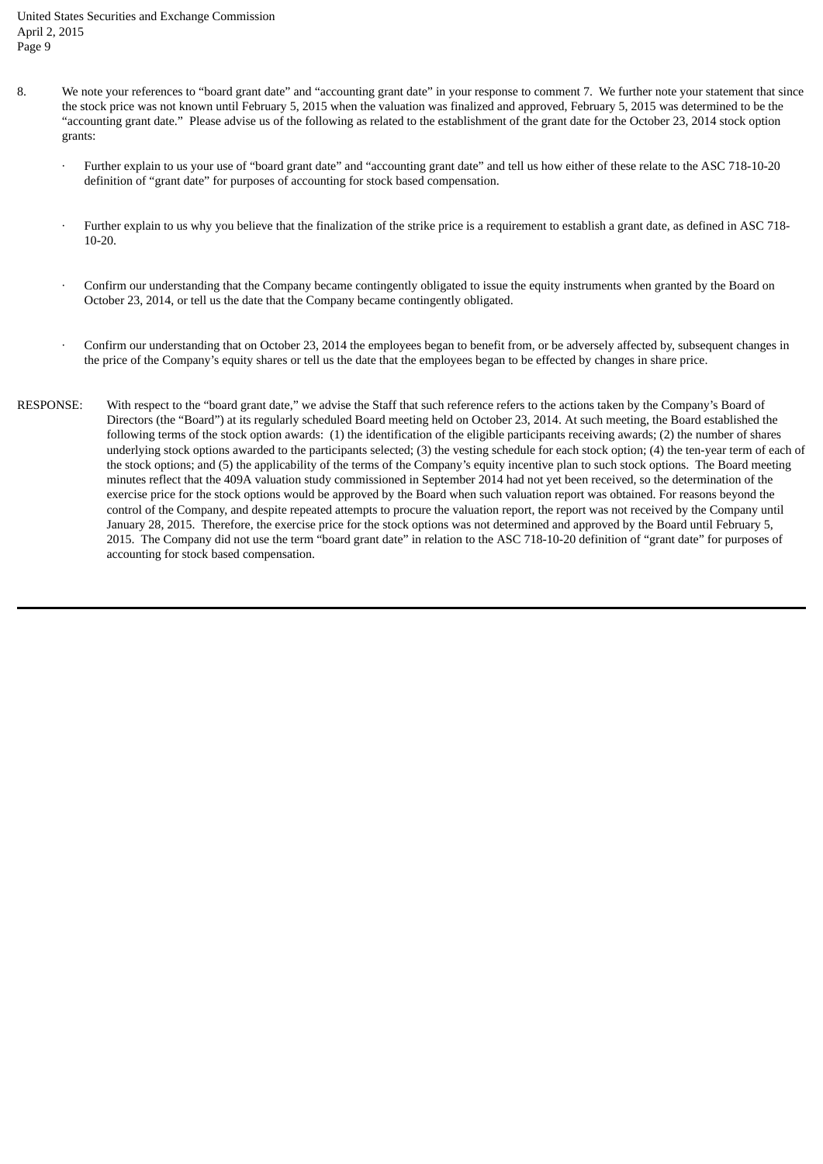United States Securities and Exchange Commission April 2, 2015 Page 9

- 8. We note your references to "board grant date" and "accounting grant date" in your response to comment 7. We further note your statement that since the stock price was not known until February 5, 2015 when the valuation was finalized and approved, February 5, 2015 was determined to be the "accounting grant date." Please advise us of the following as related to the establishment of the grant date for the October 23, 2014 stock option grants:
	- · Further explain to us your use of "board grant date" and "accounting grant date" and tell us how either of these relate to the ASC 718-10-20 definition of "grant date" for purposes of accounting for stock based compensation.
	- · Further explain to us why you believe that the finalization of the strike price is a requirement to establish a grant date, as defined in ASC 718- 10-20.
	- · Confirm our understanding that the Company became contingently obligated to issue the equity instruments when granted by the Board on October 23, 2014, or tell us the date that the Company became contingently obligated.
	- · Confirm our understanding that on October 23, 2014 the employees began to benefit from, or be adversely affected by, subsequent changes in the price of the Company's equity shares or tell us the date that the employees began to be effected by changes in share price.
- RESPONSE: With respect to the "board grant date," we advise the Staff that such reference refers to the actions taken by the Company's Board of Directors (the "Board") at its regularly scheduled Board meeting held on October 23, 2014. At such meeting, the Board established the following terms of the stock option awards: (1) the identification of the eligible participants receiving awards; (2) the number of shares underlying stock options awarded to the participants selected; (3) the vesting schedule for each stock option; (4) the ten-year term of each of the stock options; and (5) the applicability of the terms of the Company's equity incentive plan to such stock options. The Board meeting minutes reflect that the 409A valuation study commissioned in September 2014 had not yet been received, so the determination of the exercise price for the stock options would be approved by the Board when such valuation report was obtained. For reasons beyond the control of the Company, and despite repeated attempts to procure the valuation report, the report was not received by the Company until January 28, 2015. Therefore, the exercise price for the stock options was not determined and approved by the Board until February 5, 2015. The Company did not use the term "board grant date" in relation to the ASC 718-10-20 definition of "grant date" for purposes of accounting for stock based compensation.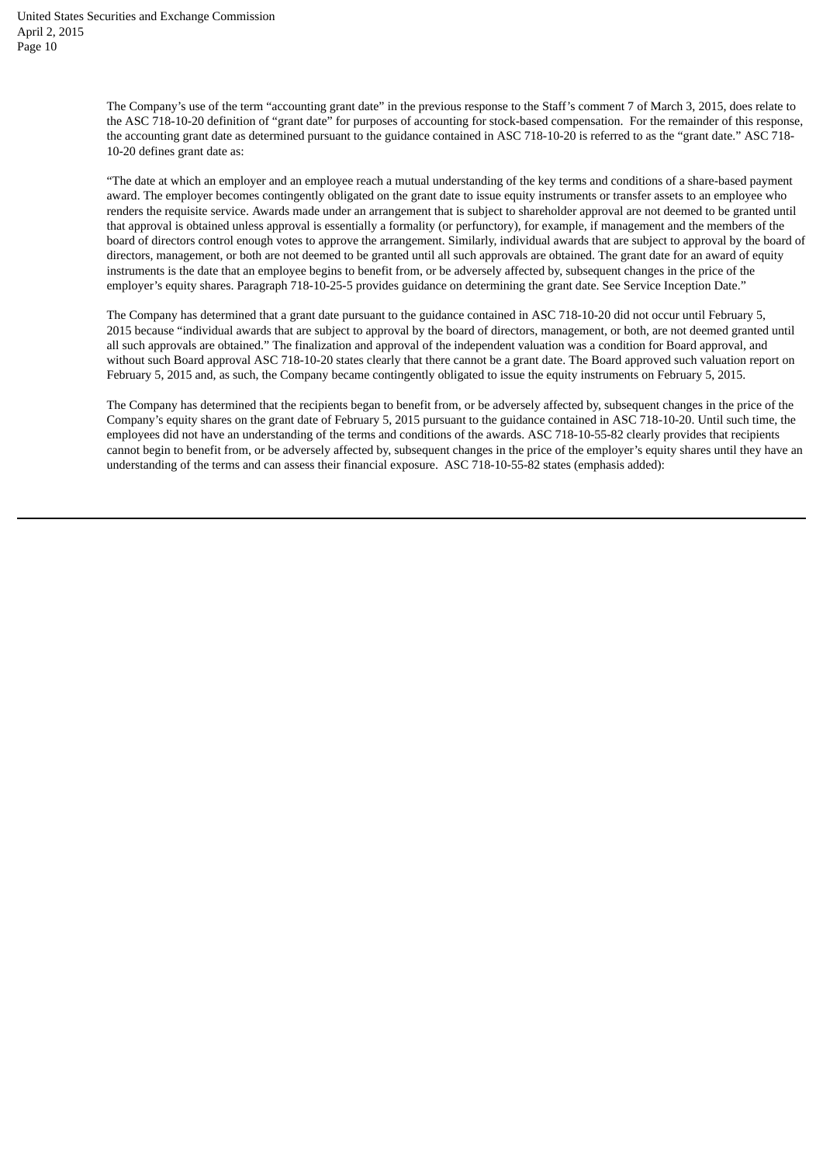The Company's use of the term "accounting grant date" in the previous response to the Staff's comment 7 of March 3, 2015, does relate to the ASC 718-10-20 definition of "grant date" for purposes of accounting for stock-based compensation. For the remainder of this response, the accounting grant date as determined pursuant to the guidance contained in ASC 718-10-20 is referred to as the "grant date." ASC 718- 10-20 defines grant date as:

"The date at which an employer and an employee reach a mutual understanding of the key terms and conditions of a share-based payment award. The employer becomes contingently obligated on the grant date to issue equity instruments or transfer assets to an employee who renders the requisite service. Awards made under an arrangement that is subject to shareholder approval are not deemed to be granted until that approval is obtained unless approval is essentially a formality (or perfunctory), for example, if management and the members of the board of directors control enough votes to approve the arrangement. Similarly, individual awards that are subject to approval by the board of directors, management, or both are not deemed to be granted until all such approvals are obtained. The grant date for an award of equity instruments is the date that an employee begins to benefit from, or be adversely affected by, subsequent changes in the price of the employer's equity shares. Paragraph 718-10-25-5 provides guidance on determining the grant date. See Service Inception Date."

The Company has determined that a grant date pursuant to the guidance contained in ASC 718-10-20 did not occur until February 5, 2015 because "individual awards that are subject to approval by the board of directors, management, or both, are not deemed granted until all such approvals are obtained." The finalization and approval of the independent valuation was a condition for Board approval, and without such Board approval ASC 718-10-20 states clearly that there cannot be a grant date. The Board approved such valuation report on February 5, 2015 and, as such, the Company became contingently obligated to issue the equity instruments on February 5, 2015.

The Company has determined that the recipients began to benefit from, or be adversely affected by, subsequent changes in the price of the Company's equity shares on the grant date of February 5, 2015 pursuant to the guidance contained in ASC 718-10-20. Until such time, the employees did not have an understanding of the terms and conditions of the awards. ASC 718-10-55-82 clearly provides that recipients cannot begin to benefit from, or be adversely affected by, subsequent changes in the price of the employer's equity shares until they have an understanding of the terms and can assess their financial exposure. ASC 718-10-55-82 states (emphasis added):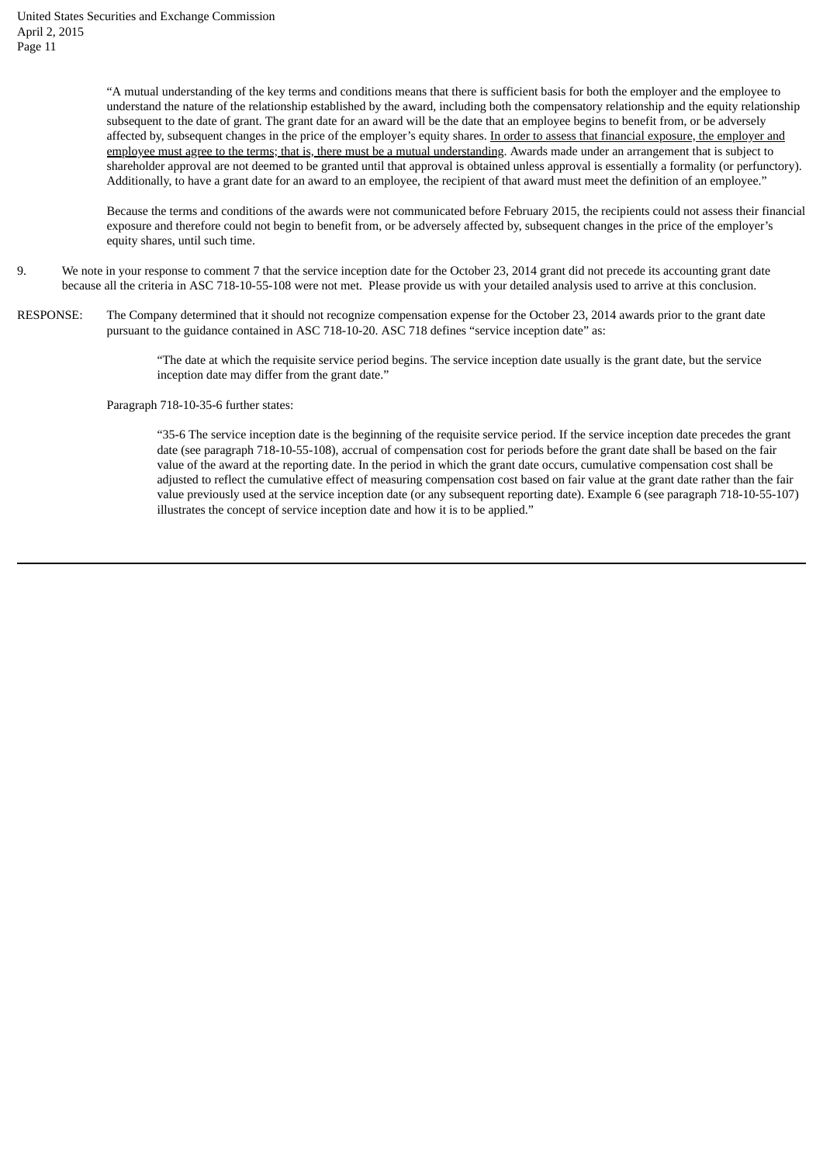"A mutual understanding of the key terms and conditions means that there is sufficient basis for both the employer and the employee to understand the nature of the relationship established by the award, including both the compensatory relationship and the equity relationship subsequent to the date of grant. The grant date for an award will be the date that an employee begins to benefit from, or be adversely affected by, subsequent changes in the price of the employer's equity shares. In order to assess that financial exposure, the employer and employee must agree to the terms; that is, there must be a mutual understanding. Awards made under an arrangement that is subject to shareholder approval are not deemed to be granted until that approval is obtained unless approval is essentially a formality (or perfunctory). Additionally, to have a grant date for an award to an employee, the recipient of that award must meet the definition of an employee."

Because the terms and conditions of the awards were not communicated before February 2015, the recipients could not assess their financial exposure and therefore could not begin to benefit from, or be adversely affected by, subsequent changes in the price of the employer's equity shares, until such time.

- 9. We note in your response to comment 7 that the service inception date for the October 23, 2014 grant did not precede its accounting grant date because all the criteria in ASC 718‑10‑55-108 were not met. Please provide us with your detailed analysis used to arrive at this conclusion.
- RESPONSE: The Company determined that it should not recognize compensation expense for the October 23, 2014 awards prior to the grant date pursuant to the guidance contained in ASC 718-10-20. ASC 718 defines "service inception date" as:

"The date at which the requisite service period begins. The service inception date usually is the grant date, but the service inception date may differ from the grant date."

Paragraph 718-10-35-6 further states:

"35-6 The service inception date is the beginning of the requisite service period. If the service inception date precedes the grant date (see paragraph 718-10-55-108), accrual of compensation cost for periods before the grant date shall be based on the fair value of the award at the reporting date. In the period in which the grant date occurs, cumulative compensation cost shall be adjusted to reflect the cumulative effect of measuring compensation cost based on fair value at the grant date rather than the fair value previously used at the service inception date (or any subsequent reporting date). Example 6 (see paragraph 718-10-55-107) illustrates the concept of service inception date and how it is to be applied."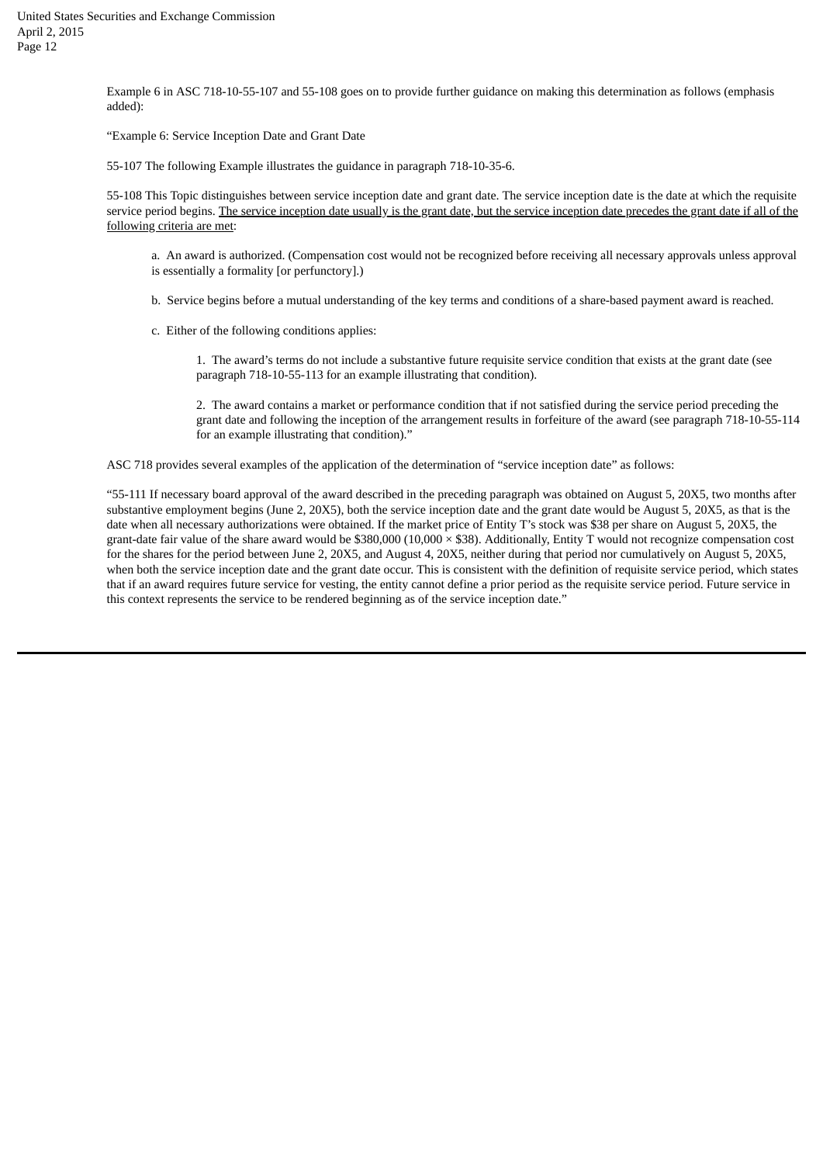Example 6 in ASC 718-10-55-107 and 55-108 goes on to provide further guidance on making this determination as follows (emphasis added):

"Example 6: Service Inception Date and Grant Date

55-107 The following Example illustrates the guidance in paragraph 718-10-35-6.

55-108 This Topic distinguishes between service inception date and grant date. The service inception date is the date at which the requisite service period begins. The service inception date usually is the grant date, but the service inception date precedes the grant date if all of the following criteria are met:

a. An award is authorized. (Compensation cost would not be recognized before receiving all necessary approvals unless approval is essentially a formality [or perfunctory].)

- b. Service begins before a mutual understanding of the key terms and conditions of a share-based payment award is reached.
- c. Either of the following conditions applies:

1. The award's terms do not include a substantive future requisite service condition that exists at the grant date (see paragraph 718-10-55-113 for an example illustrating that condition).

2. The award contains a market or performance condition that if not satisfied during the service period preceding the grant date and following the inception of the arrangement results in forfeiture of the award (see paragraph 718-10-55-114 for an example illustrating that condition)."

ASC 718 provides several examples of the application of the determination of "service inception date" as follows:

"55-111 If necessary board approval of the award described in the preceding paragraph was obtained on August 5, 20X5, two months after substantive employment begins (June 2, 20X5), both the service inception date and the grant date would be August 5, 20X5, as that is the date when all necessary authorizations were obtained. If the market price of Entity T's stock was \$38 per share on August 5, 20X5, the grant-date fair value of the share award would be \$380,000 (10,000 × \$38). Additionally, Entity T would not recognize compensation cost for the shares for the period between June 2, 20X5, and August 4, 20X5, neither during that period nor cumulatively on August 5, 20X5, when both the service inception date and the grant date occur. This is consistent with the definition of requisite service period, which states that if an award requires future service for vesting, the entity cannot define a prior period as the requisite service period. Future service in this context represents the service to be rendered beginning as of the service inception date."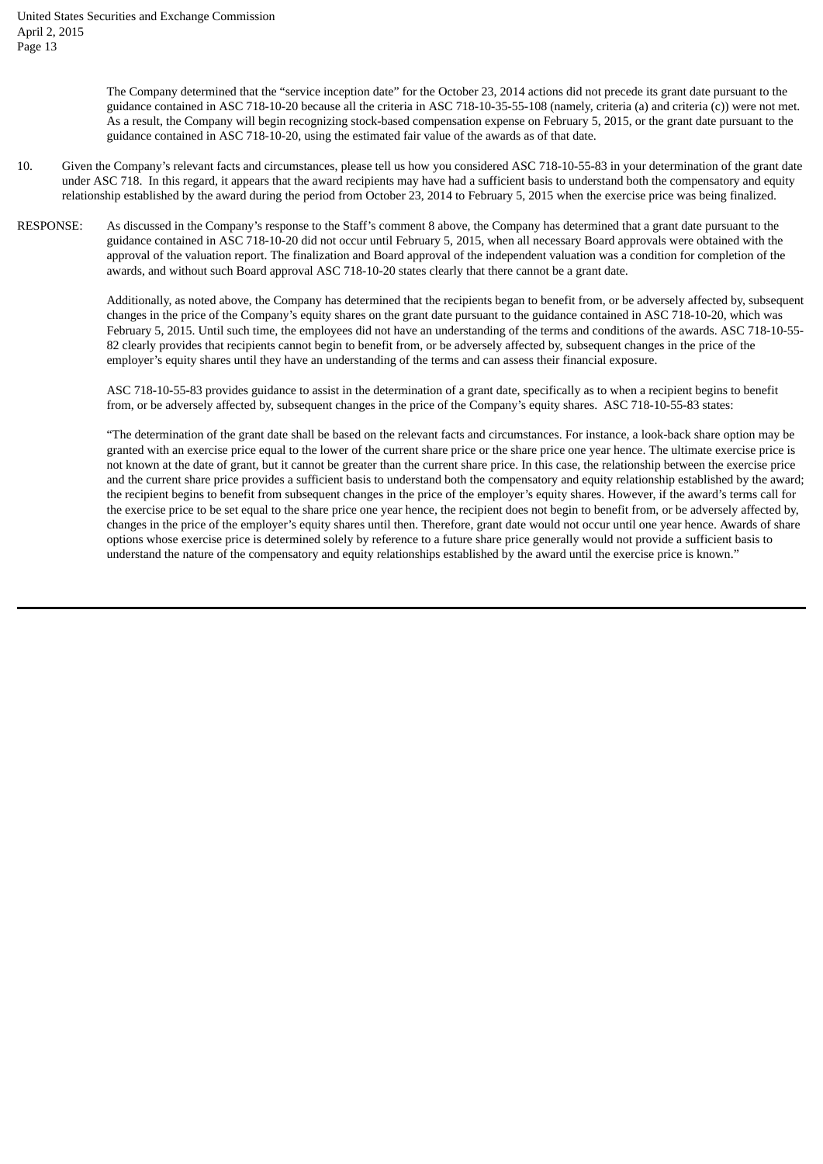The Company determined that the "service inception date" for the October 23, 2014 actions did not precede its grant date pursuant to the guidance contained in ASC 718-10-20 because all the criteria in ASC 718-10-35-55-108 (namely, criteria (a) and criteria (c)) were not met. As a result, the Company will begin recognizing stock-based compensation expense on February 5, 2015, or the grant date pursuant to the guidance contained in ASC 718-10-20, using the estimated fair value of the awards as of that date.

- 10. Given the Company's relevant facts and circumstances, please tell us how you considered ASC 718-10-55-83 in your determination of the grant date under ASC 718. In this regard, it appears that the award recipients may have had a sufficient basis to understand both the compensatory and equity relationship established by the award during the period from October 23, 2014 to February 5, 2015 when the exercise price was being finalized.
- RESPONSE: As discussed in the Company's response to the Staff's comment 8 above, the Company has determined that a grant date pursuant to the guidance contained in ASC 718-10-20 did not occur until February 5, 2015, when all necessary Board approvals were obtained with the approval of the valuation report. The finalization and Board approval of the independent valuation was a condition for completion of the awards, and without such Board approval ASC 718-10-20 states clearly that there cannot be a grant date.

Additionally, as noted above, the Company has determined that the recipients began to benefit from, or be adversely affected by, subsequent changes in the price of the Company's equity shares on the grant date pursuant to the guidance contained in ASC 718-10-20, which was February 5, 2015. Until such time, the employees did not have an understanding of the terms and conditions of the awards. ASC 718-10-55- 82 clearly provides that recipients cannot begin to benefit from, or be adversely affected by, subsequent changes in the price of the employer's equity shares until they have an understanding of the terms and can assess their financial exposure.

ASC 718-10-55-83 provides guidance to assist in the determination of a grant date, specifically as to when a recipient begins to benefit from, or be adversely affected by, subsequent changes in the price of the Company's equity shares. ASC 718-10-55-83 states:

"The determination of the grant date shall be based on the relevant facts and circumstances. For instance, a look-back share option may be granted with an exercise price equal to the lower of the current share price or the share price one year hence. The ultimate exercise price is not known at the date of grant, but it cannot be greater than the current share price. In this case, the relationship between the exercise price and the current share price provides a sufficient basis to understand both the compensatory and equity relationship established by the award; the recipient begins to benefit from subsequent changes in the price of the employer's equity shares. However, if the award's terms call for the exercise price to be set equal to the share price one year hence, the recipient does not begin to benefit from, or be adversely affected by, changes in the price of the employer's equity shares until then. Therefore, grant date would not occur until one year hence. Awards of share options whose exercise price is determined solely by reference to a future share price generally would not provide a sufficient basis to understand the nature of the compensatory and equity relationships established by the award until the exercise price is known."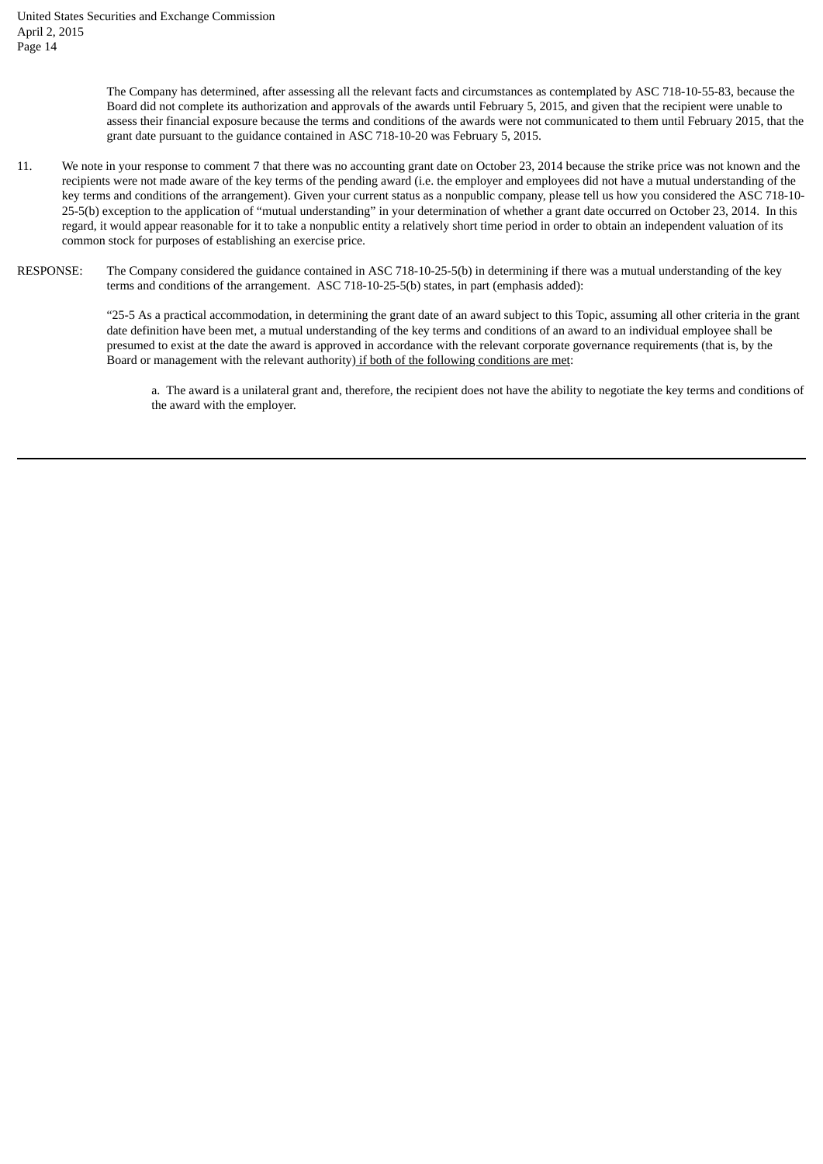The Company has determined, after assessing all the relevant facts and circumstances as contemplated by ASC 718-10-55-83, because the Board did not complete its authorization and approvals of the awards until February 5, 2015, and given that the recipient were unable to assess their financial exposure because the terms and conditions of the awards were not communicated to them until February 2015, that the grant date pursuant to the guidance contained in ASC 718-10-20 was February 5, 2015.

- 11. We note in your response to comment 7 that there was no accounting grant date on October 23, 2014 because the strike price was not known and the recipients were not made aware of the key terms of the pending award (i.e. the employer and employees did not have a mutual understanding of the key terms and conditions of the arrangement). Given your current status as a nonpublic company, please tell us how you considered the ASC 718-10- 25-5(b) exception to the application of "mutual understanding" in your determination of whether a grant date occurred on October 23, 2014. In this regard, it would appear reasonable for it to take a nonpublic entity a relatively short time period in order to obtain an independent valuation of its common stock for purposes of establishing an exercise price.
- RESPONSE: The Company considered the guidance contained in ASC 718-10-25-5(b) in determining if there was a mutual understanding of the key terms and conditions of the arrangement. ASC 718-10-25-5(b) states, in part (emphasis added):

"25-5 As a practical accommodation, in determining the grant date of an award subject to this Topic, assuming all other criteria in the grant date definition have been met, a mutual understanding of the key terms and conditions of an award to an individual employee shall be presumed to exist at the date the award is approved in accordance with the relevant corporate governance requirements (that is, by the Board or management with the relevant authority) if both of the following conditions are met:

a. The award is a unilateral grant and, therefore, the recipient does not have the ability to negotiate the key terms and conditions of the award with the employer.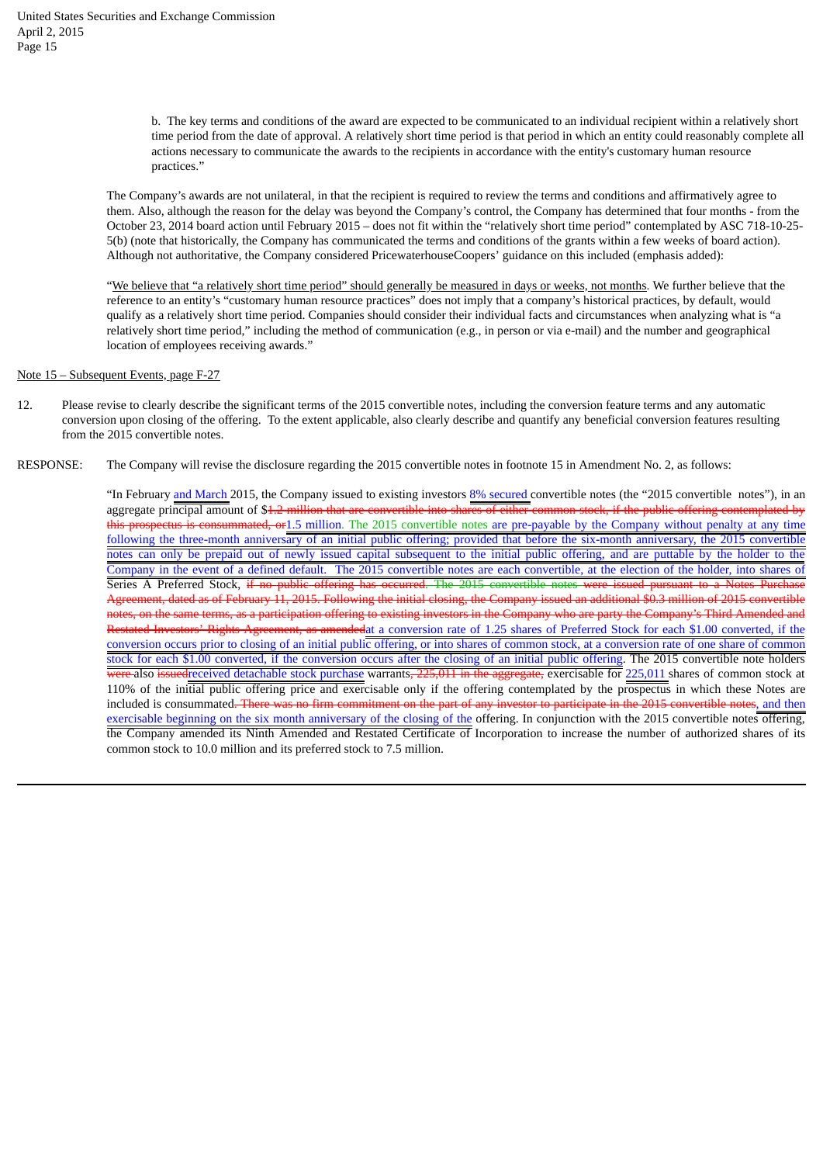b. The key terms and conditions of the award are expected to be communicated to an individual recipient within a relatively short time period from the date of approval. A relatively short time period is that period in which an entity could reasonably complete all actions necessary to communicate the awards to the recipients in accordance with the entity's customary human resource practices."

The Company's awards are not unilateral, in that the recipient is required to review the terms and conditions and affirmatively agree to them. Also, although the reason for the delay was beyond the Company's control, the Company has determined that four months - from the October 23, 2014 board action until February 2015 – does not fit within the "relatively short time period" contemplated by ASC 718-10-25- 5(b) (note that historically, the Company has communicated the terms and conditions of the grants within a few weeks of board action). Although not authoritative, the Company considered PricewaterhouseCoopers' guidance on this included (emphasis added):

"We believe that "a relatively short time period" should generally be measured in days or weeks, not months. We further believe that the reference to an entity's "customary human resource practices" does not imply that a company's historical practices, by default, would qualify as a relatively short time period. Companies should consider their individual facts and circumstances when analyzing what is "a relatively short time period," including the method of communication (e.g., in person or via e-mail) and the number and geographical location of employees receiving awards."

#### Note 15 – Subsequent Events, page F-27

- 12. Please revise to clearly describe the significant terms of the 2015 convertible notes, including the conversion feature terms and any automatic conversion upon closing of the offering. To the extent applicable, also clearly describe and quantify any beneficial conversion features resulting from the 2015 convertible notes.
- RESPONSE: The Company will revise the disclosure regarding the 2015 convertible notes in footnote 15 in Amendment No. 2, as follows:

"In February and March 2015, the Company issued to existing investors 8% secured convertible notes (the "2015 convertible notes"), in an aggregate principal amount of \$<del>1.2 million that are convertible into shares of either common stock, if the public offering contemplated by</del> this prospectus is consummated, or1.5 million. The 2015 convertible notes are pre-payable by the Company without penalty at any time following the three-month anniversary of an initial public offering; provided that before the six-month anniversary, the 2015 convertible notes can only be prepaid out of newly issued capital subsequent to the initial public offering, and are puttable by the holder to the Company in the event of a defined default. The 2015 convertible notes are each convertible, at the election of the holder, into shares of Series A Preferred Stock, if no public offering has occurred. The 2015 convertible Agreement, dated as of February 11, 2015. Following the initial closing, the Company issued an additional \$0.3 million of 2015 convertible notes, on the same terms, as a participation offering to existing investors in the Company who are party the Company's Third Amended Restated Investors' Rights Agreement, as amendedat a conversion rate of 1.25 shares of Preferred Stock for each \$1.00 converted, if the conversion occurs prior to closing of an initial public offering, or into shares of common stock, at a conversion rate of one share of common stock for each \$1.00 converted, if the conversion occurs after the closing of an initial public offering. The 2015 convertible note holders <del>were </del>also <del>issued</del>received detachable stock purchase warrants<del>, 225,011 in the aggregate,</del> exercisable for 225,011 shares of common stock at 110% of the initial public offering price and exercisable only if the offering contemplated by the prospectus in which these Notes are included is consummated. There was no firm commitment on the part of any investor to participate in the 2015 convertible notes, and then exercisable beginning on the six month anniversary of the closing of the offering. In conjunction with the 2015 convertible notes offering, the Company amended its Ninth Amended and Restated Certificate of Incorporation to increase the number of authorized shares of its common stock to 10.0 million and its preferred stock to 7.5 million.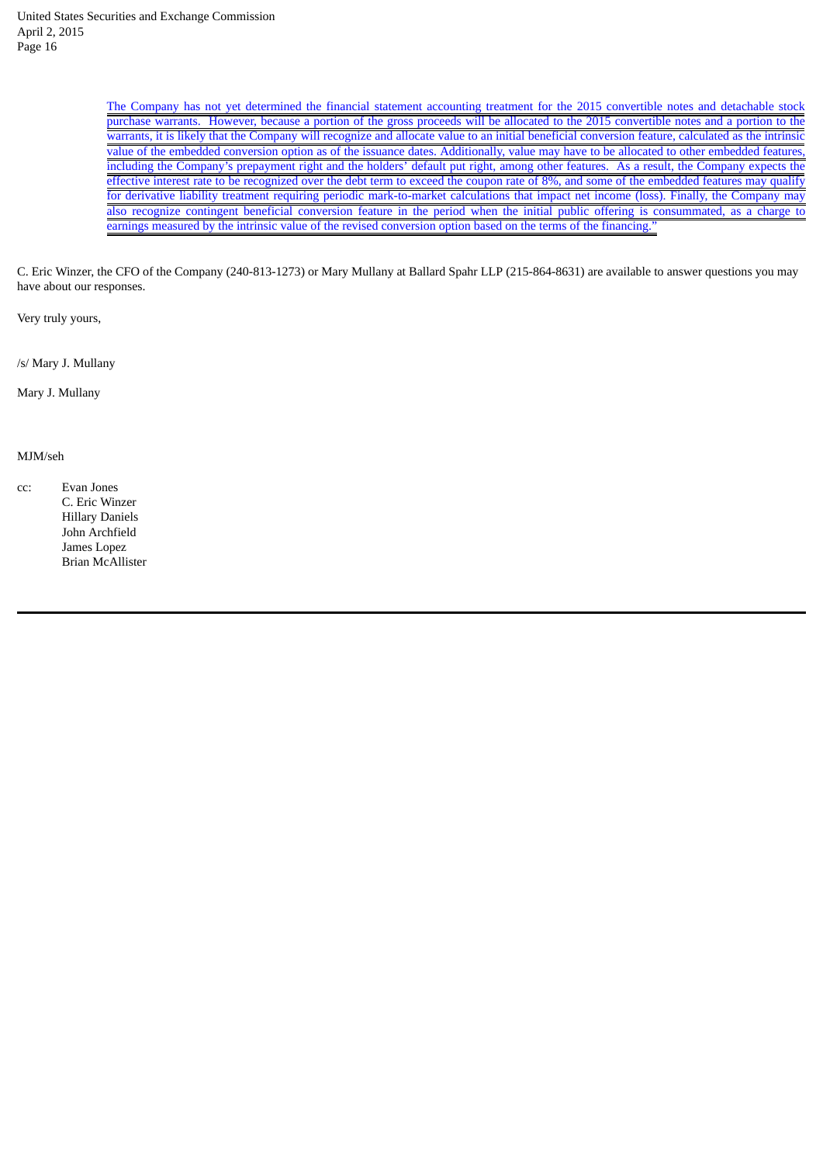The Company has not yet determined the financial statement accounting treatment for the 2015 convertible notes and detachable stock purchase warrants. However, because a portion of the gross proceeds will be allocated to the 2015 convertible notes and a portion to the warrants, it is likely that the Company will recognize and allocate value to an initial beneficial conversion feature, calculated as the intrinsic value of the embedded conversion option as of the issuance dates. Additionally, value may have to be allocated to other embedded features, including the Company's prepayment right and the holders' default put right, among other features. As a result, the Company expects the effective interest rate to be recognized over the debt term to exceed the coupon rate of 8%, and some of the embedded features may qualify for derivative liability treatment requiring periodic mark-to-market calculations that impact net income (loss). Finally, the Company may also recognize contingent beneficial conversion feature in the period when the initial public offering is consummated, as a charge to earnings measured by the intrinsic value of the revised conversion option based on the terms of the financing.

C. Eric Winzer, the CFO of the Company (240-813-1273) or Mary Mullany at Ballard Spahr LLP (215-864-8631) are available to answer questions you may have about our responses.

Very truly yours,

/s/ Mary J. Mullany

Mary J. Mullany

# MJM/seh

cc: Evan Jones C. Eric Winzer Hillary Daniels John Archfield James Lopez Brian McAllister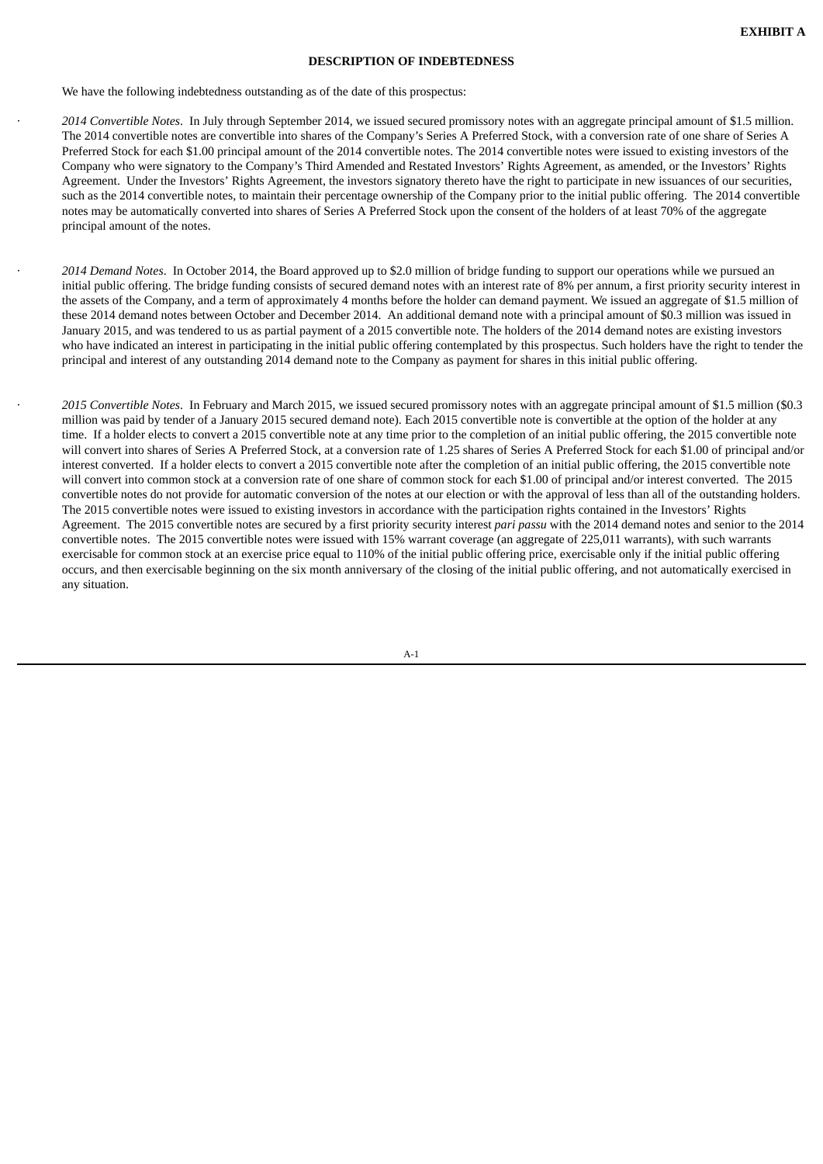#### **DESCRIPTION OF INDEBTEDNESS**

We have the following indebtedness outstanding as of the date of this prospectus:

· *2014 Convertible Notes*. In July through September 2014, we issued secured promissory notes with an aggregate principal amount of \$1.5 million. The 2014 convertible notes are convertible into shares of the Company's Series A Preferred Stock, with a conversion rate of one share of Series A Preferred Stock for each \$1.00 principal amount of the 2014 convertible notes. The 2014 convertible notes were issued to existing investors of the Company who were signatory to the Company's Third Amended and Restated Investors' Rights Agreement, as amended, or the Investors' Rights Agreement. Under the Investors' Rights Agreement, the investors signatory thereto have the right to participate in new issuances of our securities, such as the 2014 convertible notes, to maintain their percentage ownership of the Company prior to the initial public offering. The 2014 convertible notes may be automatically converted into shares of Series A Preferred Stock upon the consent of the holders of at least 70% of the aggregate principal amount of the notes.

· *2014 Demand Notes*. In October 2014, the Board approved up to \$2.0 million of bridge funding to support our operations while we pursued an initial public offering. The bridge funding consists of secured demand notes with an interest rate of 8% per annum, a first priority security interest in the assets of the Company, and a term of approximately 4 months before the holder can demand payment. We issued an aggregate of \$1.5 million of these 2014 demand notes between October and December 2014. An additional demand note with a principal amount of \$0.3 million was issued in January 2015, and was tendered to us as partial payment of a 2015 convertible note. The holders of the 2014 demand notes are existing investors who have indicated an interest in participating in the initial public offering contemplated by this prospectus. Such holders have the right to tender the principal and interest of any outstanding 2014 demand note to the Company as payment for shares in this initial public offering.

· *2015 Convertible Notes*. In February and March 2015, we issued secured promissory notes with an aggregate principal amount of \$1.5 million (\$0.3 million was paid by tender of a January 2015 secured demand note). Each 2015 convertible note is convertible at the option of the holder at any time. If a holder elects to convert a 2015 convertible note at any time prior to the completion of an initial public offering, the 2015 convertible note will convert into shares of Series A Preferred Stock, at a conversion rate of 1.25 shares of Series A Preferred Stock for each \$1.00 of principal and/or interest converted. If a holder elects to convert a 2015 convertible note after the completion of an initial public offering, the 2015 convertible note will convert into common stock at a conversion rate of one share of common stock for each \$1.00 of principal and/or interest converted. The 2015 convertible notes do not provide for automatic conversion of the notes at our election or with the approval of less than all of the outstanding holders. The 2015 convertible notes were issued to existing investors in accordance with the participation rights contained in the Investors' Rights Agreement. The 2015 convertible notes are secured by a first priority security interest *pari passu* with the 2014 demand notes and senior to the 2014 convertible notes. The 2015 convertible notes were issued with 15% warrant coverage (an aggregate of 225,011 warrants), with such warrants exercisable for common stock at an exercise price equal to 110% of the initial public offering price, exercisable only if the initial public offering occurs, and then exercisable beginning on the six month anniversary of the closing of the initial public offering, and not automatically exercised in any situation.

 $\Delta - 1$